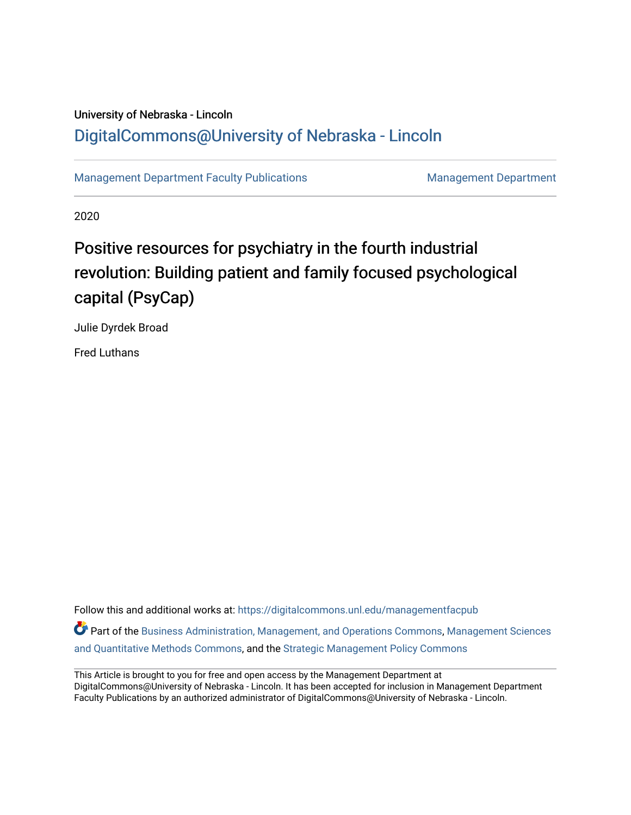# University of Nebraska - Lincoln [DigitalCommons@University of Nebraska - Lincoln](https://digitalcommons.unl.edu/)

[Management Department Faculty Publications](https://digitalcommons.unl.edu/managementfacpub) Management Department

2020

# Positive resources for psychiatry in the fourth industrial revolution: Building patient and family focused psychological capital (PsyCap)

Julie Dyrdek Broad

Fred Luthans

Follow this and additional works at: [https://digitalcommons.unl.edu/managementfacpub](https://digitalcommons.unl.edu/managementfacpub?utm_source=digitalcommons.unl.edu%2Fmanagementfacpub%2F243&utm_medium=PDF&utm_campaign=PDFCoverPages)

Part of the [Business Administration, Management, and Operations Commons](https://network.bepress.com/hgg/discipline/623?utm_source=digitalcommons.unl.edu%2Fmanagementfacpub%2F243&utm_medium=PDF&utm_campaign=PDFCoverPages), [Management Sciences](https://network.bepress.com/hgg/discipline/637?utm_source=digitalcommons.unl.edu%2Fmanagementfacpub%2F243&utm_medium=PDF&utm_campaign=PDFCoverPages) [and Quantitative Methods Commons,](https://network.bepress.com/hgg/discipline/637?utm_source=digitalcommons.unl.edu%2Fmanagementfacpub%2F243&utm_medium=PDF&utm_campaign=PDFCoverPages) and the [Strategic Management Policy Commons](https://network.bepress.com/hgg/discipline/642?utm_source=digitalcommons.unl.edu%2Fmanagementfacpub%2F243&utm_medium=PDF&utm_campaign=PDFCoverPages) 

This Article is brought to you for free and open access by the Management Department at DigitalCommons@University of Nebraska - Lincoln. It has been accepted for inclusion in Management Department Faculty Publications by an authorized administrator of DigitalCommons@University of Nebraska - Lincoln.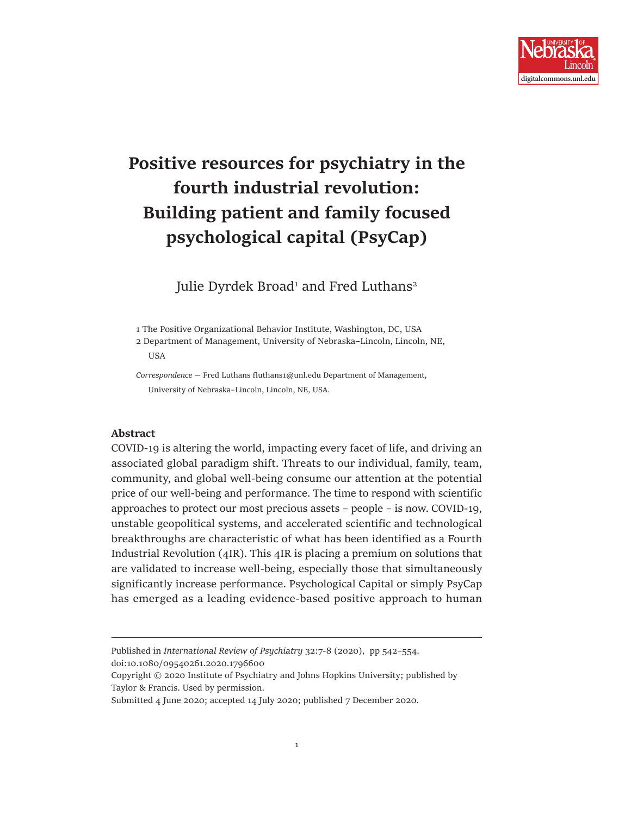

# **Positive resources for psychiatry in the fourth industrial revolution: Building patient and family focused psychological capital (PsyCap)**

Julie Dyrdek Broad<sup>1</sup> and Fred Luthans<sup>2</sup>

*Correspondence —* Fred Luthans fluthans1@unl.edu Department of Management, University of Nebraska–Lincoln, Lincoln, NE, USA.

#### **Abstract**

COVID-19 is altering the world, impacting every facet of life, and driving an associated global paradigm shift. Threats to our individual, family, team, community, and global well-being consume our attention at the potential price of our well-being and performance. The time to respond with scientific approaches to protect our most precious assets – people – is now. COVID-19, unstable geopolitical systems, and accelerated scientific and technological breakthroughs are characteristic of what has been identified as a Fourth Industrial Revolution (4IR). This 4IR is placing a premium on solutions that are validated to increase well-being, especially those that simultaneously significantly increase performance. Psychological Capital or simply PsyCap has emerged as a leading evidence-based positive approach to human

<sup>1</sup> The Positive Organizational Behavior Institute, Washington, DC, USA

<sup>2</sup> Department of Management, University of Nebraska–Lincoln, Lincoln, NE, USA

Published in *International Review of Psychiatry* 32:7-8 (2020), pp 542–554. doi:10.1080/09540261.2020.1796600

Copyright © 2020 Institute of Psychiatry and Johns Hopkins University; published by Taylor & Francis. Used by permission.

Submitted 4 June 2020; accepted 14 July 2020; published 7 December 2020.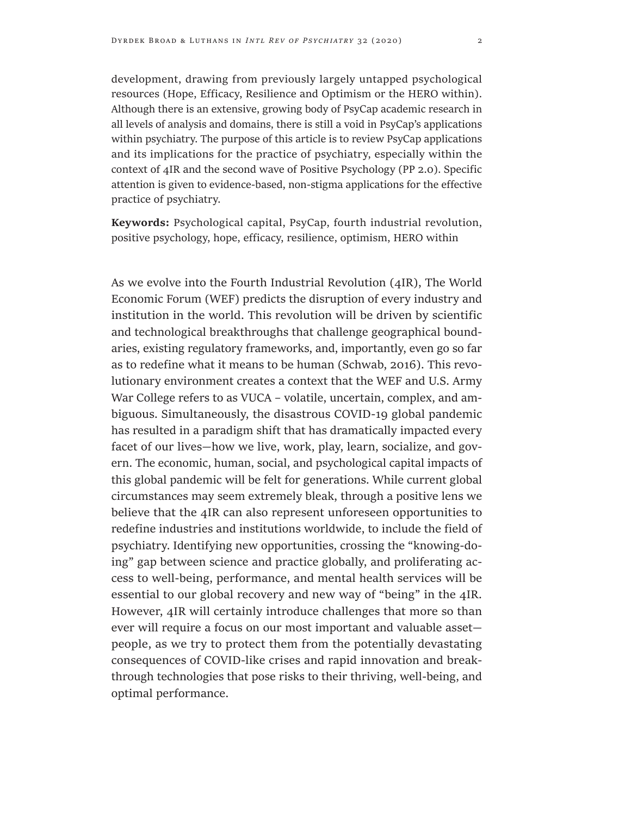development, drawing from previously largely untapped psychological resources (Hope, Efficacy, Resilience and Optimism or the HERO within). Although there is an extensive, growing body of PsyCap academic research in all levels of analysis and domains, there is still a void in PsyCap's applications within psychiatry. The purpose of this article is to review PsyCap applications and its implications for the practice of psychiatry, especially within the context of 4IR and the second wave of Positive Psychology (PP 2.0). Specific attention is given to evidence-based, non-stigma applications for the effective practice of psychiatry.

**Keywords:** Psychological capital, PsyCap, fourth industrial revolution, positive psychology, hope, efficacy, resilience, optimism, HERO within

As we evolve into the Fourth Industrial Revolution (4IR), The World Economic Forum (WEF) predicts the disruption of every industry and institution in the world. This revolution will be driven by scientific and technological breakthroughs that challenge geographical boundaries, existing regulatory frameworks, and, importantly, even go so far as to redefine what it means to be human (Schwab, 2016). This revolutionary environment creates a context that the WEF and U.S. Army War College refers to as VUCA – volatile, uncertain, complex, and ambiguous. Simultaneously, the disastrous COVID-19 global pandemic has resulted in a paradigm shift that has dramatically impacted every facet of our lives—how we live, work, play, learn, socialize, and govern. The economic, human, social, and psychological capital impacts of this global pandemic will be felt for generations. While current global circumstances may seem extremely bleak, through a positive lens we believe that the 4IR can also represent unforeseen opportunities to redefine industries and institutions worldwide, to include the field of psychiatry. Identifying new opportunities, crossing the "knowing-doing" gap between science and practice globally, and proliferating access to well-being, performance, and mental health services will be essential to our global recovery and new way of "being" in the 4IR. However, 4IR will certainly introduce challenges that more so than ever will require a focus on our most important and valuable asset people, as we try to protect them from the potentially devastating consequences of COVID-like crises and rapid innovation and breakthrough technologies that pose risks to their thriving, well-being, and optimal performance.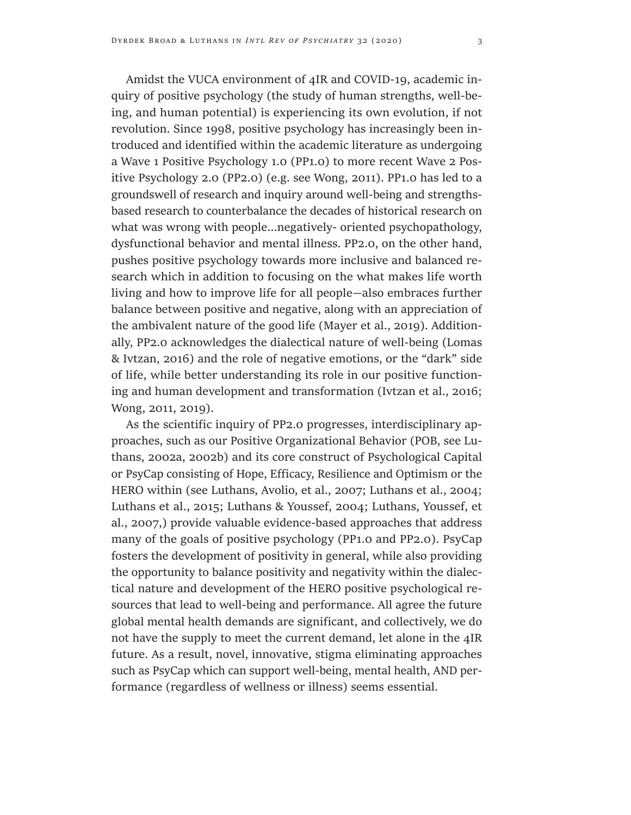Amidst the VUCA environment of 4IR and COVID-19, academic inquiry of positive psychology (the study of human strengths, well-being, and human potential) is experiencing its own evolution, if not revolution. Since 1998, positive psychology has increasingly been introduced and identified within the academic literature as undergoing a Wave 1 Positive Psychology 1.0 (PP1.0) to more recent Wave 2 Positive Psychology 2.0 (PP2.0) (e.g. see Wong, 2011). PP1.0 has led to a groundswell of research and inquiry around well-being and strengthsbased research to counterbalance the decades of historical research on what was wrong with people…negatively- oriented psychopathology, dysfunctional behavior and mental illness. PP2.0, on the other hand, pushes positive psychology towards more inclusive and balanced research which in addition to focusing on the what makes life worth living and how to improve life for all people—also embraces further balance between positive and negative, along with an appreciation of the ambivalent nature of the good life (Mayer et al., 2019). Additionally, PP2.0 acknowledges the dialectical nature of well-being (Lomas & Ivtzan, 2016) and the role of negative emotions, or the "dark" side of life, while better understanding its role in our positive functioning and human development and transformation (Ivtzan et al., 2016; Wong, 2011, 2019).

As the scientific inquiry of PP2.0 progresses, interdisciplinary approaches, such as our Positive Organizational Behavior (POB, see Luthans, 2002a, 2002b) and its core construct of Psychological Capital or PsyCap consisting of Hope, Efficacy, Resilience and Optimism or the HERO within (see Luthans, Avolio, et al., 2007; Luthans et al., 2004; Luthans et al., 2015; Luthans & Youssef, 2004; Luthans, Youssef, et al., 2007,) provide valuable evidence-based approaches that address many of the goals of positive psychology (PP1.0 and PP2.0). PsyCap fosters the development of positivity in general, while also providing the opportunity to balance positivity and negativity within the dialectical nature and development of the HERO positive psychological resources that lead to well-being and performance. All agree the future global mental health demands are significant, and collectively, we do not have the supply to meet the current demand, let alone in the 4IR future. As a result, novel, innovative, stigma eliminating approaches such as PsyCap which can support well-being, mental health, AND performance (regardless of wellness or illness) seems essential.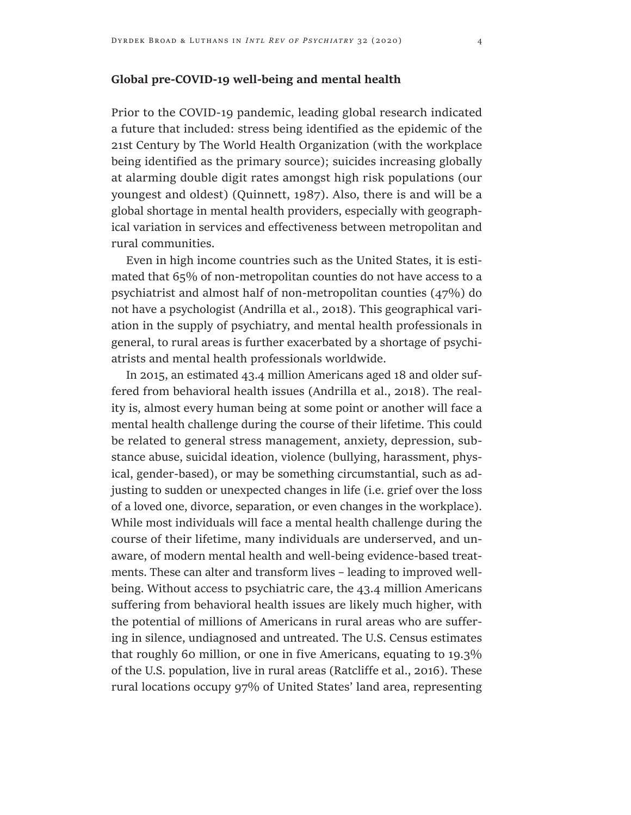#### **Global pre-COVID-19 well-being and mental health**

Prior to the COVID-19 pandemic, leading global research indicated a future that included: stress being identified as the epidemic of the 21st Century by The World Health Organization (with the workplace being identified as the primary source); suicides increasing globally at alarming double digit rates amongst high risk populations (our youngest and oldest) (Quinnett, 1987). Also, there is and will be a global shortage in mental health providers, especially with geographical variation in services and effectiveness between metropolitan and rural communities.

Even in high income countries such as the United States, it is estimated that 65% of non-metropolitan counties do not have access to a psychiatrist and almost half of non-metropolitan counties (47%) do not have a psychologist (Andrilla et al., 2018). This geographical variation in the supply of psychiatry, and mental health professionals in general, to rural areas is further exacerbated by a shortage of psychiatrists and mental health professionals worldwide.

In 2015, an estimated 43.4 million Americans aged 18 and older suffered from behavioral health issues (Andrilla et al., 2018). The reality is, almost every human being at some point or another will face a mental health challenge during the course of their lifetime. This could be related to general stress management, anxiety, depression, substance abuse, suicidal ideation, violence (bullying, harassment, physical, gender-based), or may be something circumstantial, such as adjusting to sudden or unexpected changes in life (i.e. grief over the loss of a loved one, divorce, separation, or even changes in the workplace). While most individuals will face a mental health challenge during the course of their lifetime, many individuals are underserved, and unaware, of modern mental health and well-being evidence-based treatments. These can alter and transform lives – leading to improved wellbeing. Without access to psychiatric care, the 43.4 million Americans suffering from behavioral health issues are likely much higher, with the potential of millions of Americans in rural areas who are suffering in silence, undiagnosed and untreated. The U.S. Census estimates that roughly 60 million, or one in five Americans, equating to 19.3% of the U.S. population, live in rural areas (Ratcliffe et al., 2016). These rural locations occupy 97% of United States' land area, representing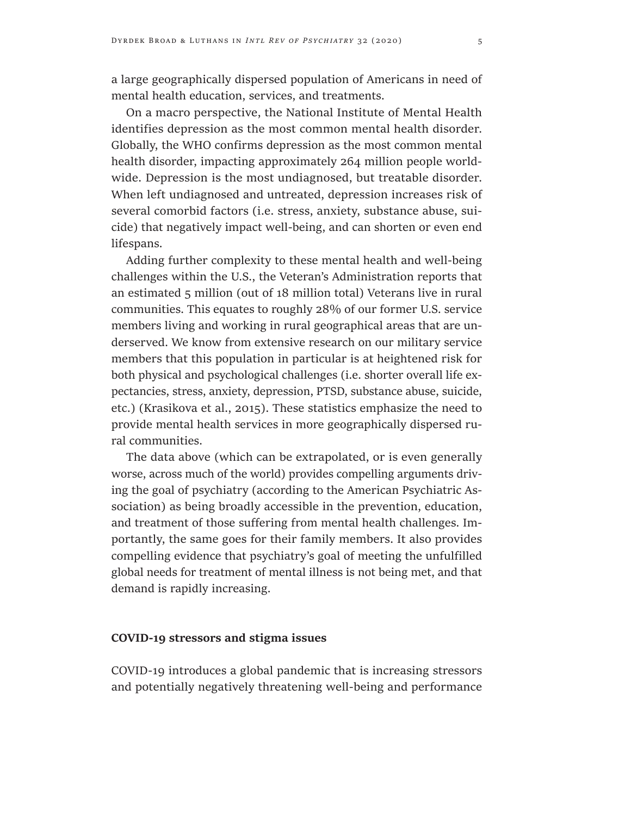a large geographically dispersed population of Americans in need of mental health education, services, and treatments.

On a macro perspective, the National Institute of Mental Health identifies depression as the most common mental health disorder. Globally, the WHO confirms depression as the most common mental health disorder, impacting approximately 264 million people worldwide. Depression is the most undiagnosed, but treatable disorder. When left undiagnosed and untreated, depression increases risk of several comorbid factors (i.e. stress, anxiety, substance abuse, suicide) that negatively impact well-being, and can shorten or even end lifespans.

Adding further complexity to these mental health and well-being challenges within the U.S., the Veteran's Administration reports that an estimated 5 million (out of 18 million total) Veterans live in rural communities. This equates to roughly 28% of our former U.S. service members living and working in rural geographical areas that are underserved. We know from extensive research on our military service members that this population in particular is at heightened risk for both physical and psychological challenges (i.e. shorter overall life expectancies, stress, anxiety, depression, PTSD, substance abuse, suicide, etc.) (Krasikova et al., 2015). These statistics emphasize the need to provide mental health services in more geographically dispersed rural communities.

The data above (which can be extrapolated, or is even generally worse, across much of the world) provides compelling arguments driving the goal of psychiatry (according to the American Psychiatric Association) as being broadly accessible in the prevention, education, and treatment of those suffering from mental health challenges. Importantly, the same goes for their family members. It also provides compelling evidence that psychiatry's goal of meeting the unfulfilled global needs for treatment of mental illness is not being met, and that demand is rapidly increasing.

#### **COVID-19 stressors and stigma issues**

COVID-19 introduces a global pandemic that is increasing stressors and potentially negatively threatening well-being and performance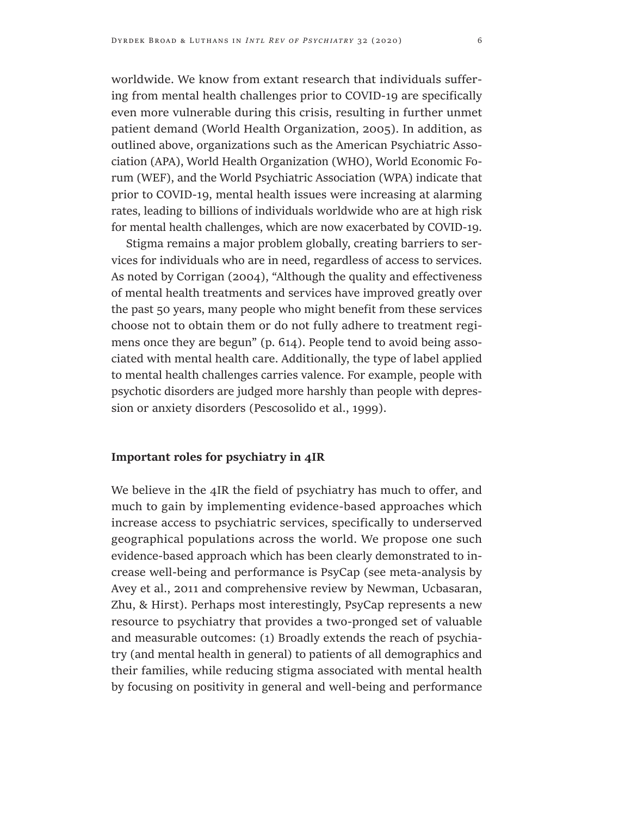worldwide. We know from extant research that individuals suffering from mental health challenges prior to COVID-19 are specifically even more vulnerable during this crisis, resulting in further unmet patient demand (World Health Organization, 2005). In addition, as outlined above, organizations such as the American Psychiatric Association (APA), World Health Organization (WHO), World Economic Forum (WEF), and the World Psychiatric Association (WPA) indicate that prior to COVID-19, mental health issues were increasing at alarming rates, leading to billions of individuals worldwide who are at high risk for mental health challenges, which are now exacerbated by COVID-19.

Stigma remains a major problem globally, creating barriers to services for individuals who are in need, regardless of access to services. As noted by Corrigan (2004), "Although the quality and effectiveness of mental health treatments and services have improved greatly over the past 50 years, many people who might benefit from these services choose not to obtain them or do not fully adhere to treatment regimens once they are begun" (p. 614). People tend to avoid being associated with mental health care. Additionally, the type of label applied to mental health challenges carries valence. For example, people with psychotic disorders are judged more harshly than people with depression or anxiety disorders (Pescosolido et al., 1999).

# **Important roles for psychiatry in 4IR**

We believe in the 4IR the field of psychiatry has much to offer, and much to gain by implementing evidence-based approaches which increase access to psychiatric services, specifically to underserved geographical populations across the world. We propose one such evidence-based approach which has been clearly demonstrated to increase well-being and performance is PsyCap (see meta-analysis by Avey et al., 2011 and comprehensive review by Newman, Ucbasaran, Zhu, & Hirst). Perhaps most interestingly, PsyCap represents a new resource to psychiatry that provides a two-pronged set of valuable and measurable outcomes: (1) Broadly extends the reach of psychiatry (and mental health in general) to patients of all demographics and their families, while reducing stigma associated with mental health by focusing on positivity in general and well-being and performance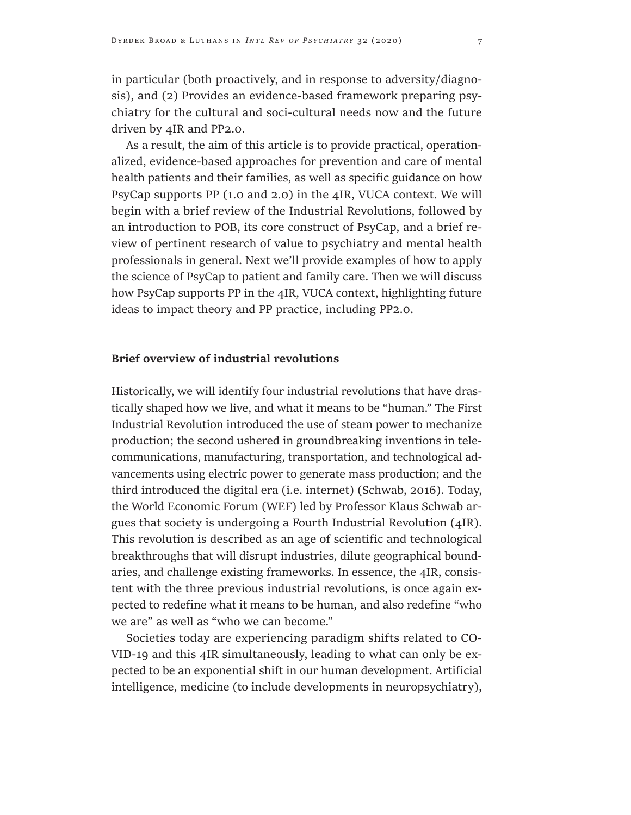in particular (both proactively, and in response to adversity/diagnosis), and (2) Provides an evidence-based framework preparing psychiatry for the cultural and soci-cultural needs now and the future driven by 4IR and PP2.0.

As a result, the aim of this article is to provide practical, operationalized, evidence-based approaches for prevention and care of mental health patients and their families, as well as specific guidance on how PsyCap supports PP (1.0 and 2.0) in the 4IR, VUCA context. We will begin with a brief review of the Industrial Revolutions, followed by an introduction to POB, its core construct of PsyCap, and a brief review of pertinent research of value to psychiatry and mental health professionals in general. Next we'll provide examples of how to apply the science of PsyCap to patient and family care. Then we will discuss how PsyCap supports PP in the 4IR, VUCA context, highlighting future ideas to impact theory and PP practice, including PP2.0.

#### **Brief overview of industrial revolutions**

Historically, we will identify four industrial revolutions that have drastically shaped how we live, and what it means to be "human." The First Industrial Revolution introduced the use of steam power to mechanize production; the second ushered in groundbreaking inventions in telecommunications, manufacturing, transportation, and technological advancements using electric power to generate mass production; and the third introduced the digital era (i.e. internet) (Schwab, 2016). Today, the World Economic Forum (WEF) led by Professor Klaus Schwab argues that society is undergoing a Fourth Industrial Revolution (4IR). This revolution is described as an age of scientific and technological breakthroughs that will disrupt industries, dilute geographical boundaries, and challenge existing frameworks. In essence, the 4IR, consistent with the three previous industrial revolutions, is once again expected to redefine what it means to be human, and also redefine "who we are" as well as "who we can become."

Societies today are experiencing paradigm shifts related to CO-VID-19 and this 4IR simultaneously, leading to what can only be expected to be an exponential shift in our human development. Artificial intelligence, medicine (to include developments in neuropsychiatry),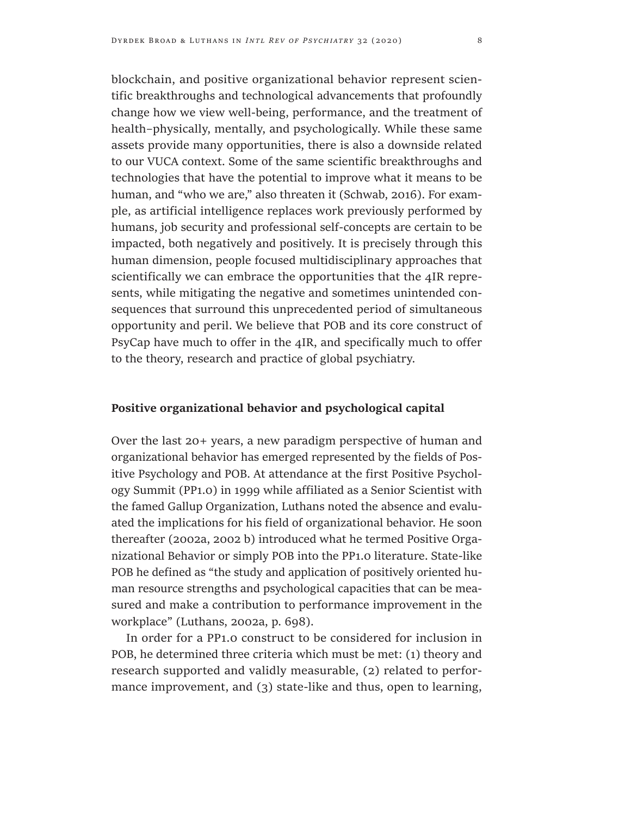blockchain, and positive organizational behavior represent scientific breakthroughs and technological advancements that profoundly change how we view well-being, performance, and the treatment of health–physically, mentally, and psychologically. While these same assets provide many opportunities, there is also a downside related to our VUCA context. Some of the same scientific breakthroughs and technologies that have the potential to improve what it means to be human, and "who we are," also threaten it (Schwab, 2016). For example, as artificial intelligence replaces work previously performed by humans, job security and professional self-concepts are certain to be impacted, both negatively and positively. It is precisely through this human dimension, people focused multidisciplinary approaches that scientifically we can embrace the opportunities that the 4IR represents, while mitigating the negative and sometimes unintended consequences that surround this unprecedented period of simultaneous opportunity and peril. We believe that POB and its core construct of PsyCap have much to offer in the 4IR, and specifically much to offer to the theory, research and practice of global psychiatry.

#### **Positive organizational behavior and psychological capital**

Over the last 20+ years, a new paradigm perspective of human and organizational behavior has emerged represented by the fields of Positive Psychology and POB. At attendance at the first Positive Psychology Summit (PP1.0) in 1999 while affiliated as a Senior Scientist with the famed Gallup Organization, Luthans noted the absence and evaluated the implications for his field of organizational behavior. He soon thereafter (2002a, 2002 b) introduced what he termed Positive Organizational Behavior or simply POB into the PP1.0 literature. State-like POB he defined as "the study and application of positively oriented human resource strengths and psychological capacities that can be measured and make a contribution to performance improvement in the workplace" (Luthans, 2002a, p. 698).

In order for a PP1.0 construct to be considered for inclusion in POB, he determined three criteria which must be met: (1) theory and research supported and validly measurable, (2) related to performance improvement, and (3) state-like and thus, open to learning,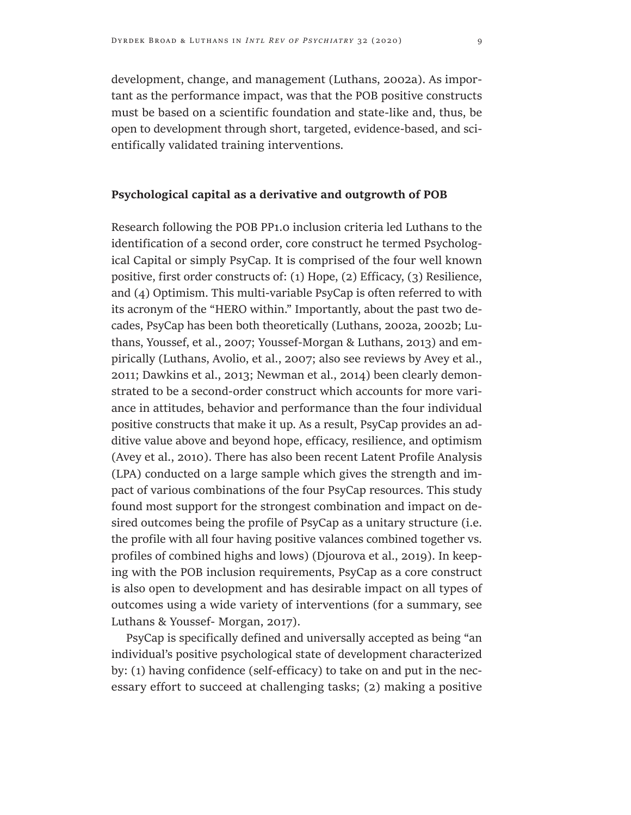development, change, and management (Luthans, 2002a). As important as the performance impact, was that the POB positive constructs must be based on a scientific foundation and state-like and, thus, be open to development through short, targeted, evidence-based, and scientifically validated training interventions.

#### **Psychological capital as a derivative and outgrowth of POB**

Research following the POB PP1.0 inclusion criteria led Luthans to the identification of a second order, core construct he termed Psychological Capital or simply PsyCap. It is comprised of the four well known positive, first order constructs of: (1) Hope, (2) Efficacy, (3) Resilience, and (4) Optimism. This multi-variable PsyCap is often referred to with its acronym of the "HERO within." Importantly, about the past two decades, PsyCap has been both theoretically (Luthans, 2002a, 2002b; Luthans, Youssef, et al., 2007; Youssef-Morgan & Luthans, 2013) and empirically (Luthans, Avolio, et al., 2007; also see reviews by Avey et al., 2011; Dawkins et al., 2013; Newman et al., 2014) been clearly demonstrated to be a second-order construct which accounts for more variance in attitudes, behavior and performance than the four individual positive constructs that make it up. As a result, PsyCap provides an additive value above and beyond hope, efficacy, resilience, and optimism (Avey et al., 2010). There has also been recent Latent Profile Analysis (LPA) conducted on a large sample which gives the strength and impact of various combinations of the four PsyCap resources. This study found most support for the strongest combination and impact on desired outcomes being the profile of PsyCap as a unitary structure (i.e. the profile with all four having positive valances combined together vs. profiles of combined highs and lows) (Djourova et al., 2019). In keeping with the POB inclusion requirements, PsyCap as a core construct is also open to development and has desirable impact on all types of outcomes using a wide variety of interventions (for a summary, see Luthans & Youssef- Morgan, 2017).

PsyCap is specifically defined and universally accepted as being "an individual's positive psychological state of development characterized by: (1) having confidence (self-efficacy) to take on and put in the necessary effort to succeed at challenging tasks; (2) making a positive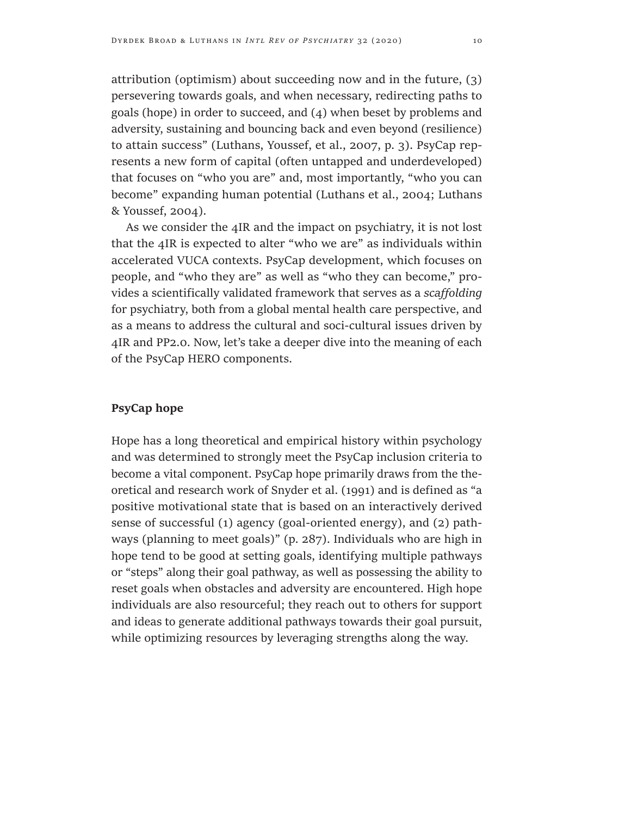attribution (optimism) about succeeding now and in the future, (3) persevering towards goals, and when necessary, redirecting paths to goals (hope) in order to succeed, and (4) when beset by problems and adversity, sustaining and bouncing back and even beyond (resilience) to attain success" (Luthans, Youssef, et al., 2007, p. 3). PsyCap represents a new form of capital (often untapped and underdeveloped) that focuses on "who you are" and, most importantly, "who you can become" expanding human potential (Luthans et al., 2004; Luthans & Youssef, 2004).

As we consider the 4IR and the impact on psychiatry, it is not lost that the 4IR is expected to alter "who we are" as individuals within accelerated VUCA contexts. PsyCap development, which focuses on people, and "who they are" as well as "who they can become," provides a scientifically validated framework that serves as a *scaffolding*  for psychiatry, both from a global mental health care perspective, and as a means to address the cultural and soci-cultural issues driven by 4IR and PP2.0. Now, let's take a deeper dive into the meaning of each of the PsyCap HERO components.

# **PsyCap hope**

Hope has a long theoretical and empirical history within psychology and was determined to strongly meet the PsyCap inclusion criteria to become a vital component. PsyCap hope primarily draws from the theoretical and research work of Snyder et al. (1991) and is defined as "a positive motivational state that is based on an interactively derived sense of successful (1) agency (goal-oriented energy), and (2) pathways (planning to meet goals)" (p. 287). Individuals who are high in hope tend to be good at setting goals, identifying multiple pathways or "steps" along their goal pathway, as well as possessing the ability to reset goals when obstacles and adversity are encountered. High hope individuals are also resourceful; they reach out to others for support and ideas to generate additional pathways towards their goal pursuit, while optimizing resources by leveraging strengths along the way.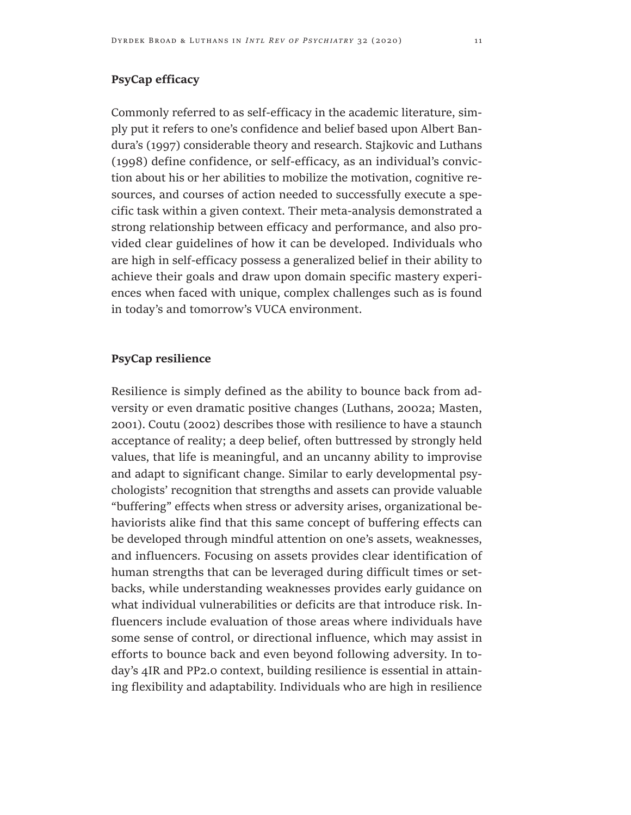# **PsyCap efficacy**

Commonly referred to as self-efficacy in the academic literature, simply put it refers to one's confidence and belief based upon Albert Bandura's (1997) considerable theory and research. Stajkovic and Luthans (1998) define confidence, or self-efficacy, as an individual's conviction about his or her abilities to mobilize the motivation, cognitive resources, and courses of action needed to successfully execute a specific task within a given context. Their meta-analysis demonstrated a strong relationship between efficacy and performance, and also provided clear guidelines of how it can be developed. Individuals who are high in self-efficacy possess a generalized belief in their ability to achieve their goals and draw upon domain specific mastery experiences when faced with unique, complex challenges such as is found in today's and tomorrow's VUCA environment.

# **PsyCap resilience**

Resilience is simply defined as the ability to bounce back from adversity or even dramatic positive changes (Luthans, 2002a; Masten, 2001). Coutu (2002) describes those with resilience to have a staunch acceptance of reality; a deep belief, often buttressed by strongly held values, that life is meaningful, and an uncanny ability to improvise and adapt to significant change. Similar to early developmental psychologists' recognition that strengths and assets can provide valuable "buffering" effects when stress or adversity arises, organizational behaviorists alike find that this same concept of buffering effects can be developed through mindful attention on one's assets, weaknesses, and influencers. Focusing on assets provides clear identification of human strengths that can be leveraged during difficult times or setbacks, while understanding weaknesses provides early guidance on what individual vulnerabilities or deficits are that introduce risk. Influencers include evaluation of those areas where individuals have some sense of control, or directional influence, which may assist in efforts to bounce back and even beyond following adversity. In today's 4IR and PP2.0 context, building resilience is essential in attaining flexibility and adaptability. Individuals who are high in resilience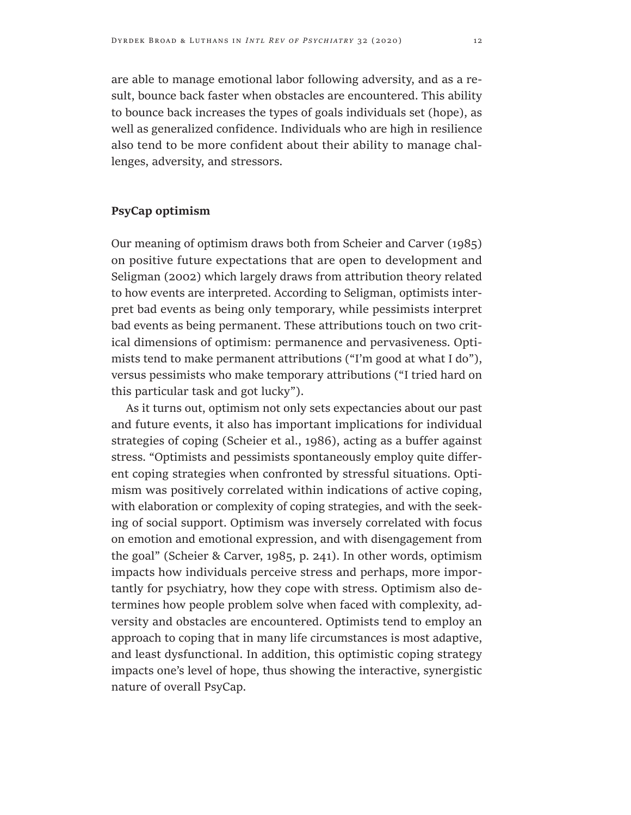are able to manage emotional labor following adversity, and as a result, bounce back faster when obstacles are encountered. This ability to bounce back increases the types of goals individuals set (hope), as well as generalized confidence. Individuals who are high in resilience also tend to be more confident about their ability to manage challenges, adversity, and stressors.

#### **PsyCap optimism**

Our meaning of optimism draws both from Scheier and Carver (1985) on positive future expectations that are open to development and Seligman (2002) which largely draws from attribution theory related to how events are interpreted. According to Seligman, optimists interpret bad events as being only temporary, while pessimists interpret bad events as being permanent. These attributions touch on two critical dimensions of optimism: permanence and pervasiveness. Optimists tend to make permanent attributions ("I'm good at what I do"), versus pessimists who make temporary attributions ("I tried hard on this particular task and got lucky").

As it turns out, optimism not only sets expectancies about our past and future events, it also has important implications for individual strategies of coping (Scheier et al., 1986), acting as a buffer against stress. "Optimists and pessimists spontaneously employ quite different coping strategies when confronted by stressful situations. Optimism was positively correlated within indications of active coping, with elaboration or complexity of coping strategies, and with the seeking of social support. Optimism was inversely correlated with focus on emotion and emotional expression, and with disengagement from the goal" (Scheier & Carver, 1985, p. 241). In other words, optimism impacts how individuals perceive stress and perhaps, more importantly for psychiatry, how they cope with stress. Optimism also determines how people problem solve when faced with complexity, adversity and obstacles are encountered. Optimists tend to employ an approach to coping that in many life circumstances is most adaptive, and least dysfunctional. In addition, this optimistic coping strategy impacts one's level of hope, thus showing the interactive, synergistic nature of overall PsyCap.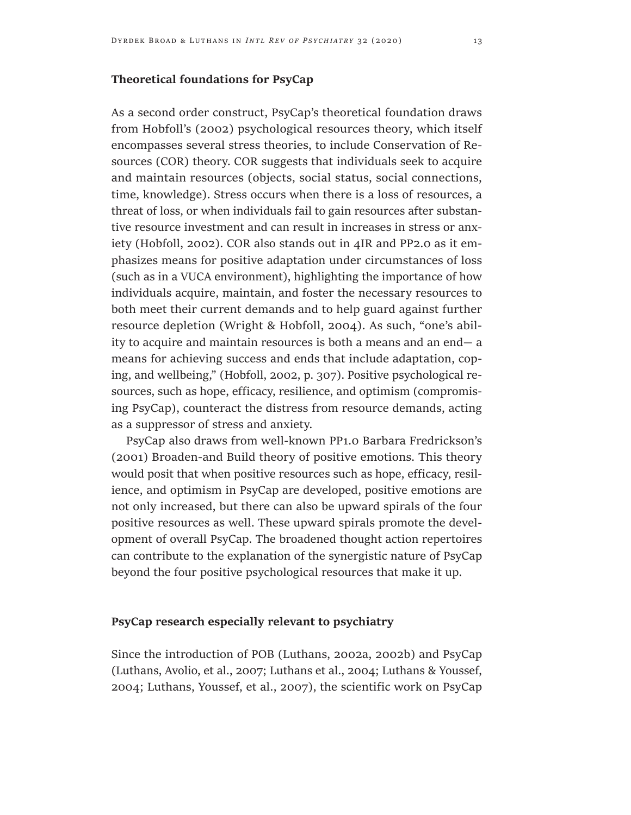# **Theoretical foundations for PsyCap**

As a second order construct, PsyCap's theoretical foundation draws from Hobfoll's (2002) psychological resources theory, which itself encompasses several stress theories, to include Conservation of Resources (COR) theory. COR suggests that individuals seek to acquire and maintain resources (objects, social status, social connections, time, knowledge). Stress occurs when there is a loss of resources, a threat of loss, or when individuals fail to gain resources after substantive resource investment and can result in increases in stress or anxiety (Hobfoll, 2002). COR also stands out in 4IR and PP2.0 as it emphasizes means for positive adaptation under circumstances of loss (such as in a VUCA environment), highlighting the importance of how individuals acquire, maintain, and foster the necessary resources to both meet their current demands and to help guard against further resource depletion (Wright & Hobfoll, 2004). As such, "one's ability to acquire and maintain resources is both a means and an end— a means for achieving success and ends that include adaptation, coping, and wellbeing," (Hobfoll, 2002, p. 307). Positive psychological resources, such as hope, efficacy, resilience, and optimism (compromising PsyCap), counteract the distress from resource demands, acting as a suppressor of stress and anxiety.

PsyCap also draws from well-known PP1.0 Barbara Fredrickson's (2001) Broaden-and Build theory of positive emotions. This theory would posit that when positive resources such as hope, efficacy, resilience, and optimism in PsyCap are developed, positive emotions are not only increased, but there can also be upward spirals of the four positive resources as well. These upward spirals promote the development of overall PsyCap. The broadened thought action repertoires can contribute to the explanation of the synergistic nature of PsyCap beyond the four positive psychological resources that make it up.

#### **PsyCap research especially relevant to psychiatry**

Since the introduction of POB (Luthans, 2002a, 2002b) and PsyCap (Luthans, Avolio, et al., 2007; Luthans et al., 2004; Luthans & Youssef, 2004; Luthans, Youssef, et al., 2007), the scientific work on PsyCap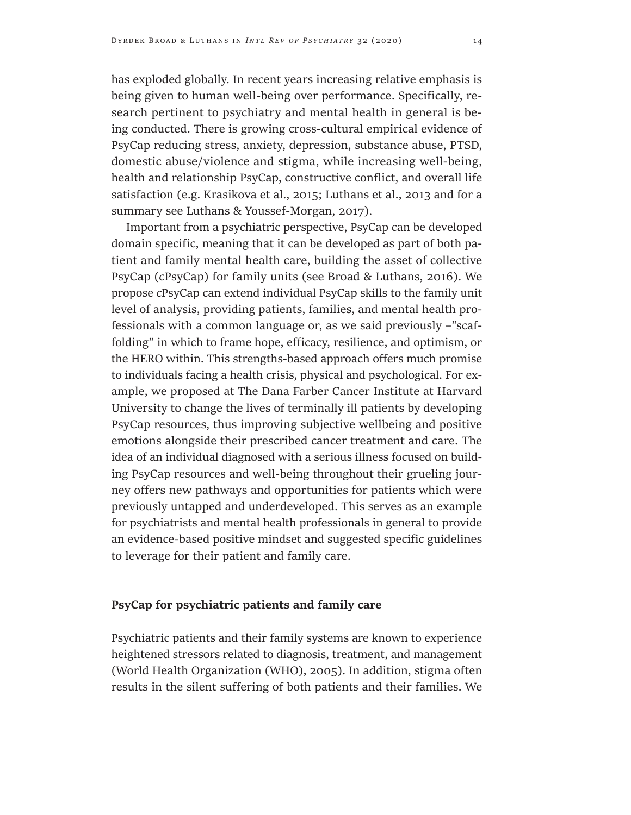has exploded globally. In recent years increasing relative emphasis is being given to human well-being over performance. Specifically, research pertinent to psychiatry and mental health in general is being conducted. There is growing cross-cultural empirical evidence of PsyCap reducing stress, anxiety, depression, substance abuse, PTSD, domestic abuse/violence and stigma, while increasing well-being, health and relationship PsyCap, constructive conflict, and overall life satisfaction (e.g. Krasikova et al., 2015; Luthans et al., 2013 and for a summary see Luthans & Youssef-Morgan, 2017).

Important from a psychiatric perspective, PsyCap can be developed domain specific, meaning that it can be developed as part of both patient and family mental health care, building the asset of collective PsyCap (*c*PsyCap) for family units (see Broad & Luthans, 2016). We propose *c*PsyCap can extend individual PsyCap skills to the family unit level of analysis, providing patients, families, and mental health professionals with a common language or, as we said previously –"scaffolding" in which to frame hope, efficacy, resilience, and optimism, or the HERO within. This strengths-based approach offers much promise to individuals facing a health crisis, physical and psychological. For example, we proposed at The Dana Farber Cancer Institute at Harvard University to change the lives of terminally ill patients by developing PsyCap resources, thus improving subjective wellbeing and positive emotions alongside their prescribed cancer treatment and care. The idea of an individual diagnosed with a serious illness focused on building PsyCap resources and well-being throughout their grueling journey offers new pathways and opportunities for patients which were previously untapped and underdeveloped. This serves as an example for psychiatrists and mental health professionals in general to provide an evidence-based positive mindset and suggested specific guidelines to leverage for their patient and family care.

# **PsyCap for psychiatric patients and family care**

Psychiatric patients and their family systems are known to experience heightened stressors related to diagnosis, treatment, and management (World Health Organization (WHO), 2005). In addition, stigma often results in the silent suffering of both patients and their families. We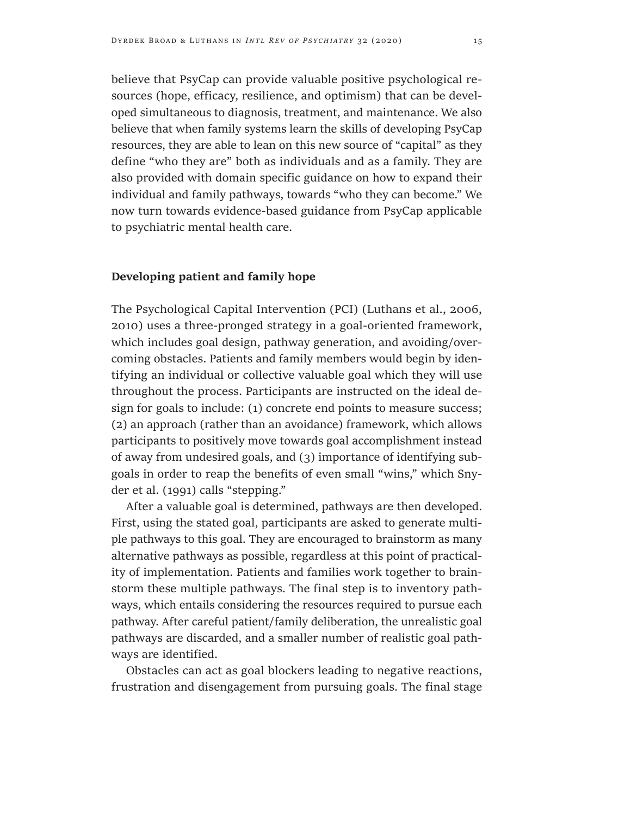believe that PsyCap can provide valuable positive psychological resources (hope, efficacy, resilience, and optimism) that can be developed simultaneous to diagnosis, treatment, and maintenance. We also believe that when family systems learn the skills of developing PsyCap resources, they are able to lean on this new source of "capital" as they define "who they are" both as individuals and as a family. They are also provided with domain specific guidance on how to expand their individual and family pathways, towards "who they can become." We now turn towards evidence-based guidance from PsyCap applicable to psychiatric mental health care.

#### **Developing patient and family hope**

The Psychological Capital Intervention (PCI) (Luthans et al., 2006, 2010) uses a three-pronged strategy in a goal-oriented framework, which includes goal design, pathway generation, and avoiding/overcoming obstacles. Patients and family members would begin by identifying an individual or collective valuable goal which they will use throughout the process. Participants are instructed on the ideal design for goals to include: (1) concrete end points to measure success; (2) an approach (rather than an avoidance) framework, which allows participants to positively move towards goal accomplishment instead of away from undesired goals, and (3) importance of identifying subgoals in order to reap the benefits of even small "wins," which Snyder et al. (1991) calls "stepping."

After a valuable goal is determined, pathways are then developed. First, using the stated goal, participants are asked to generate multiple pathways to this goal. They are encouraged to brainstorm as many alternative pathways as possible, regardless at this point of practicality of implementation. Patients and families work together to brainstorm these multiple pathways. The final step is to inventory pathways, which entails considering the resources required to pursue each pathway. After careful patient/family deliberation, the unrealistic goal pathways are discarded, and a smaller number of realistic goal pathways are identified.

Obstacles can act as goal blockers leading to negative reactions, frustration and disengagement from pursuing goals. The final stage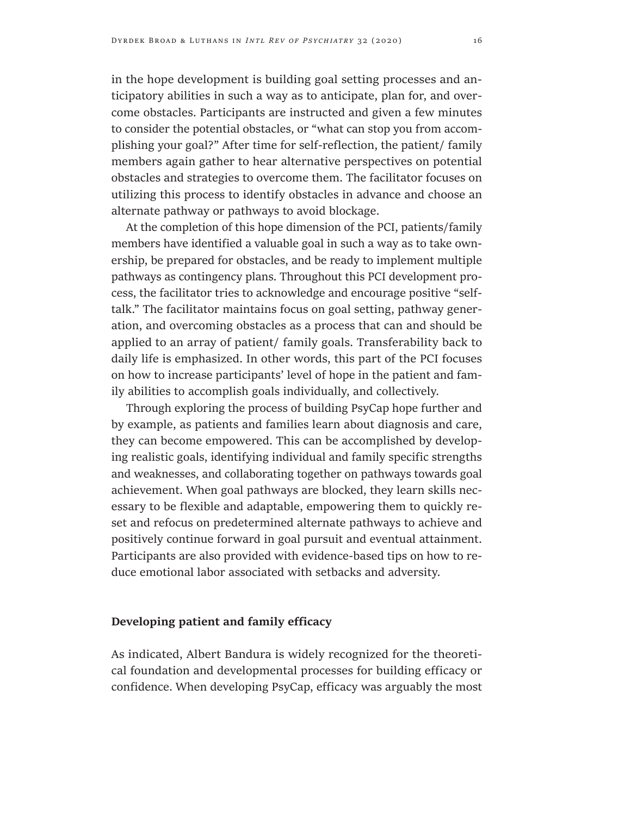in the hope development is building goal setting processes and anticipatory abilities in such a way as to anticipate, plan for, and overcome obstacles. Participants are instructed and given a few minutes to consider the potential obstacles, or "what can stop you from accomplishing your goal?" After time for self-reflection, the patient/ family members again gather to hear alternative perspectives on potential obstacles and strategies to overcome them. The facilitator focuses on utilizing this process to identify obstacles in advance and choose an alternate pathway or pathways to avoid blockage.

At the completion of this hope dimension of the PCI, patients/family members have identified a valuable goal in such a way as to take ownership, be prepared for obstacles, and be ready to implement multiple pathways as contingency plans. Throughout this PCI development process, the facilitator tries to acknowledge and encourage positive "selftalk." The facilitator maintains focus on goal setting, pathway generation, and overcoming obstacles as a process that can and should be applied to an array of patient/ family goals. Transferability back to daily life is emphasized. In other words, this part of the PCI focuses on how to increase participants' level of hope in the patient and family abilities to accomplish goals individually, and collectively.

Through exploring the process of building PsyCap hope further and by example, as patients and families learn about diagnosis and care, they can become empowered. This can be accomplished by developing realistic goals, identifying individual and family specific strengths and weaknesses, and collaborating together on pathways towards goal achievement. When goal pathways are blocked, they learn skills necessary to be flexible and adaptable, empowering them to quickly reset and refocus on predetermined alternate pathways to achieve and positively continue forward in goal pursuit and eventual attainment. Participants are also provided with evidence-based tips on how to reduce emotional labor associated with setbacks and adversity.

#### **Developing patient and family efficacy**

As indicated, Albert Bandura is widely recognized for the theoretical foundation and developmental processes for building efficacy or confidence. When developing PsyCap, efficacy was arguably the most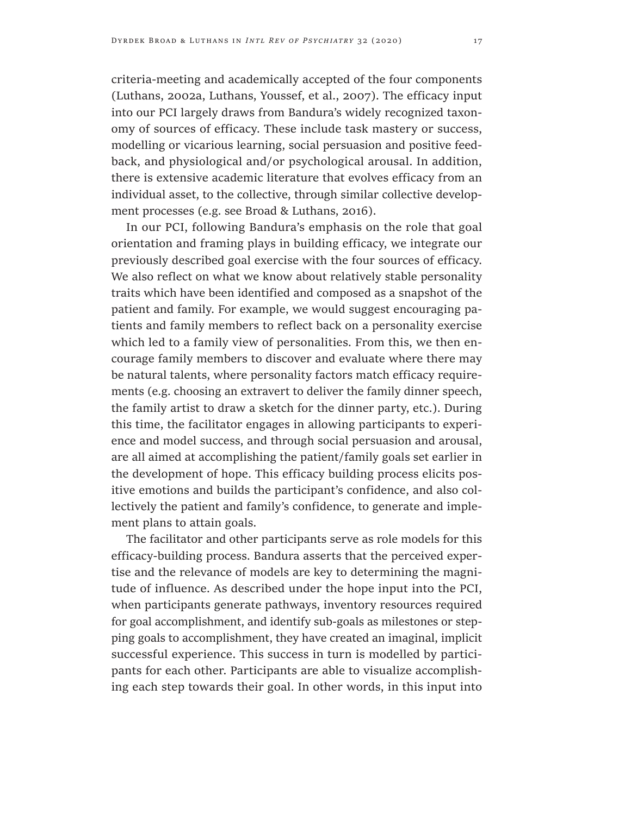criteria-meeting and academically accepted of the four components (Luthans, 2002a, Luthans, Youssef, et al., 2007). The efficacy input into our PCI largely draws from Bandura's widely recognized taxonomy of sources of efficacy. These include task mastery or success, modelling or vicarious learning, social persuasion and positive feedback, and physiological and/or psychological arousal. In addition, there is extensive academic literature that evolves efficacy from an individual asset, to the collective, through similar collective development processes (e.g. see Broad & Luthans, 2016).

In our PCI, following Bandura's emphasis on the role that goal orientation and framing plays in building efficacy, we integrate our previously described goal exercise with the four sources of efficacy. We also reflect on what we know about relatively stable personality traits which have been identified and composed as a snapshot of the patient and family. For example, we would suggest encouraging patients and family members to reflect back on a personality exercise which led to a family view of personalities. From this, we then encourage family members to discover and evaluate where there may be natural talents, where personality factors match efficacy requirements (e.g. choosing an extravert to deliver the family dinner speech, the family artist to draw a sketch for the dinner party, etc.). During this time, the facilitator engages in allowing participants to experience and model success, and through social persuasion and arousal, are all aimed at accomplishing the patient/family goals set earlier in the development of hope. This efficacy building process elicits positive emotions and builds the participant's confidence, and also collectively the patient and family's confidence, to generate and implement plans to attain goals.

The facilitator and other participants serve as role models for this efficacy-building process. Bandura asserts that the perceived expertise and the relevance of models are key to determining the magnitude of influence. As described under the hope input into the PCI, when participants generate pathways, inventory resources required for goal accomplishment, and identify sub-goals as milestones or stepping goals to accomplishment, they have created an imaginal, implicit successful experience. This success in turn is modelled by participants for each other. Participants are able to visualize accomplishing each step towards their goal. In other words, in this input into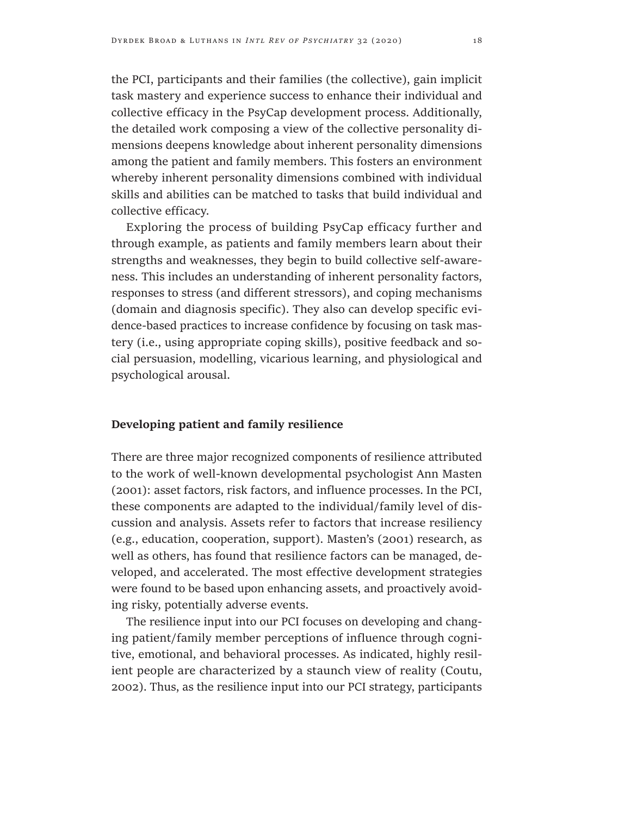the PCI, participants and their families (the collective), gain implicit task mastery and experience success to enhance their individual and collective efficacy in the PsyCap development process. Additionally, the detailed work composing a view of the collective personality dimensions deepens knowledge about inherent personality dimensions among the patient and family members. This fosters an environment whereby inherent personality dimensions combined with individual skills and abilities can be matched to tasks that build individual and collective efficacy.

Exploring the process of building PsyCap efficacy further and through example, as patients and family members learn about their strengths and weaknesses, they begin to build collective self-awareness. This includes an understanding of inherent personality factors, responses to stress (and different stressors), and coping mechanisms (domain and diagnosis specific). They also can develop specific evidence-based practices to increase confidence by focusing on task mastery (i.e., using appropriate coping skills), positive feedback and social persuasion, modelling, vicarious learning, and physiological and psychological arousal.

### **Developing patient and family resilience**

There are three major recognized components of resilience attributed to the work of well-known developmental psychologist Ann Masten (2001): asset factors, risk factors, and influence processes. In the PCI, these components are adapted to the individual/family level of discussion and analysis. Assets refer to factors that increase resiliency (e.g., education, cooperation, support). Masten's (2001) research, as well as others, has found that resilience factors can be managed, developed, and accelerated. The most effective development strategies were found to be based upon enhancing assets, and proactively avoiding risky, potentially adverse events.

The resilience input into our PCI focuses on developing and changing patient/family member perceptions of influence through cognitive, emotional, and behavioral processes. As indicated, highly resilient people are characterized by a staunch view of reality (Coutu, 2002). Thus, as the resilience input into our PCI strategy, participants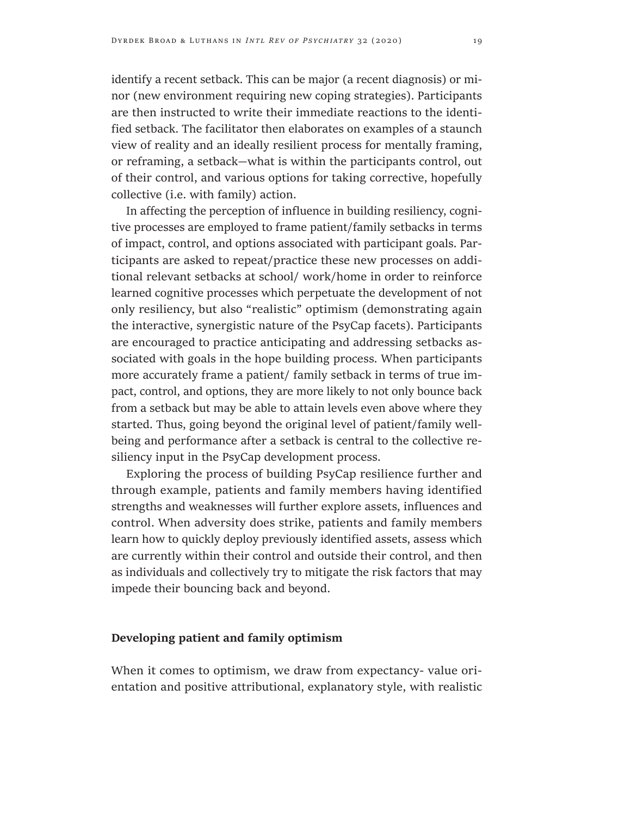identify a recent setback. This can be major (a recent diagnosis) or minor (new environment requiring new coping strategies). Participants are then instructed to write their immediate reactions to the identified setback. The facilitator then elaborates on examples of a staunch view of reality and an ideally resilient process for mentally framing, or reframing, a setback—what is within the participants control, out of their control, and various options for taking corrective, hopefully collective (i.e. with family) action.

In affecting the perception of influence in building resiliency, cognitive processes are employed to frame patient/family setbacks in terms of impact, control, and options associated with participant goals. Participants are asked to repeat/practice these new processes on additional relevant setbacks at school/ work/home in order to reinforce learned cognitive processes which perpetuate the development of not only resiliency, but also "realistic" optimism (demonstrating again the interactive, synergistic nature of the PsyCap facets). Participants are encouraged to practice anticipating and addressing setbacks associated with goals in the hope building process. When participants more accurately frame a patient/ family setback in terms of true impact, control, and options, they are more likely to not only bounce back from a setback but may be able to attain levels even above where they started. Thus, going beyond the original level of patient/family wellbeing and performance after a setback is central to the collective resiliency input in the PsyCap development process.

Exploring the process of building PsyCap resilience further and through example, patients and family members having identified strengths and weaknesses will further explore assets, influences and control. When adversity does strike, patients and family members learn how to quickly deploy previously identified assets, assess which are currently within their control and outside their control, and then as individuals and collectively try to mitigate the risk factors that may impede their bouncing back and beyond.

#### **Developing patient and family optimism**

When it comes to optimism, we draw from expectancy- value orientation and positive attributional, explanatory style, with realistic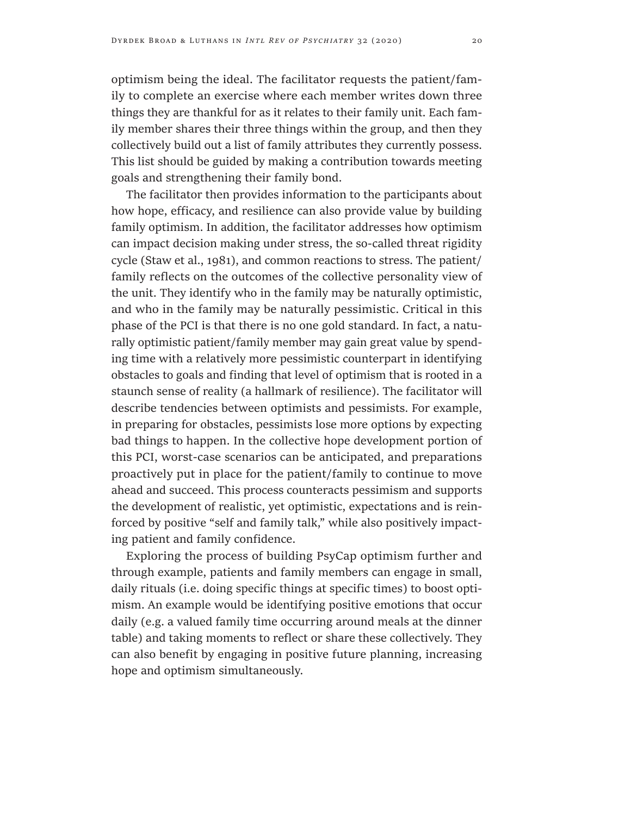optimism being the ideal. The facilitator requests the patient/family to complete an exercise where each member writes down three things they are thankful for as it relates to their family unit. Each family member shares their three things within the group, and then they collectively build out a list of family attributes they currently possess. This list should be guided by making a contribution towards meeting goals and strengthening their family bond.

The facilitator then provides information to the participants about how hope, efficacy, and resilience can also provide value by building family optimism. In addition, the facilitator addresses how optimism can impact decision making under stress, the so-called threat rigidity cycle (Staw et al., 1981), and common reactions to stress. The patient/ family reflects on the outcomes of the collective personality view of the unit. They identify who in the family may be naturally optimistic, and who in the family may be naturally pessimistic. Critical in this phase of the PCI is that there is no one gold standard. In fact, a naturally optimistic patient/family member may gain great value by spending time with a relatively more pessimistic counterpart in identifying obstacles to goals and finding that level of optimism that is rooted in a staunch sense of reality (a hallmark of resilience). The facilitator will describe tendencies between optimists and pessimists. For example, in preparing for obstacles, pessimists lose more options by expecting bad things to happen. In the collective hope development portion of this PCI, worst-case scenarios can be anticipated, and preparations proactively put in place for the patient/family to continue to move ahead and succeed. This process counteracts pessimism and supports the development of realistic, yet optimistic, expectations and is reinforced by positive "self and family talk," while also positively impacting patient and family confidence.

Exploring the process of building PsyCap optimism further and through example, patients and family members can engage in small, daily rituals (i.e. doing specific things at specific times) to boost optimism. An example would be identifying positive emotions that occur daily (e.g. a valued family time occurring around meals at the dinner table) and taking moments to reflect or share these collectively. They can also benefit by engaging in positive future planning, increasing hope and optimism simultaneously.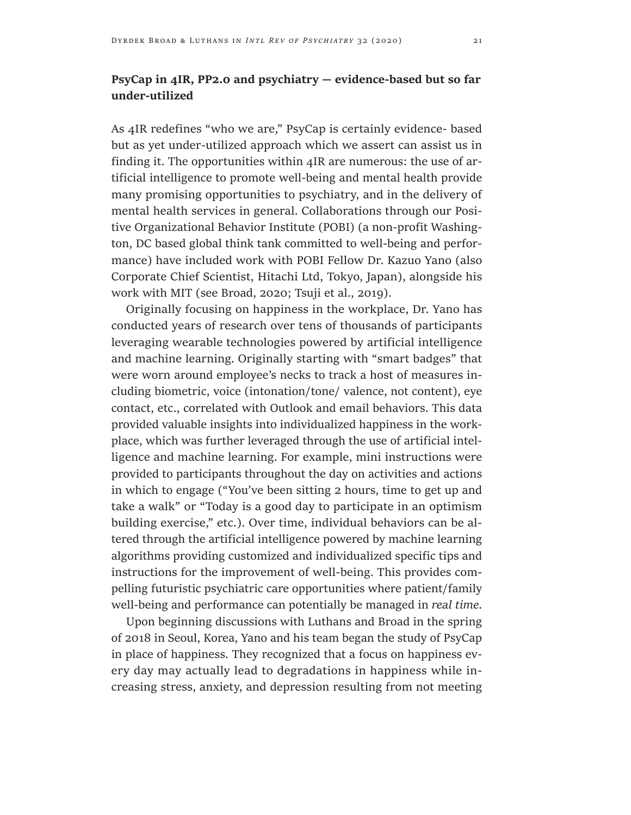# **PsyCap in 4IR, PP2.0 and psychiatry — evidence-based but so far under-utilized**

As 4IR redefines "who we are," PsyCap is certainly evidence- based but as yet under-utilized approach which we assert can assist us in finding it. The opportunities within 4IR are numerous: the use of artificial intelligence to promote well-being and mental health provide many promising opportunities to psychiatry, and in the delivery of mental health services in general. Collaborations through our Positive Organizational Behavior Institute (POBI) (a non-profit Washington, DC based global think tank committed to well-being and performance) have included work with POBI Fellow Dr. Kazuo Yano (also Corporate Chief Scientist, Hitachi Ltd, Tokyo, Japan), alongside his work with MIT (see Broad, 2020; Tsuji et al., 2019).

Originally focusing on happiness in the workplace, Dr. Yano has conducted years of research over tens of thousands of participants leveraging wearable technologies powered by artificial intelligence and machine learning. Originally starting with "smart badges" that were worn around employee's necks to track a host of measures including biometric, voice (intonation/tone/ valence, not content), eye contact, etc., correlated with Outlook and email behaviors. This data provided valuable insights into individualized happiness in the workplace, which was further leveraged through the use of artificial intelligence and machine learning. For example, mini instructions were provided to participants throughout the day on activities and actions in which to engage ("You've been sitting 2 hours, time to get up and take a walk" or "Today is a good day to participate in an optimism building exercise," etc.). Over time, individual behaviors can be altered through the artificial intelligence powered by machine learning algorithms providing customized and individualized specific tips and instructions for the improvement of well-being. This provides compelling futuristic psychiatric care opportunities where patient/family well-being and performance can potentially be managed in *real time*.

Upon beginning discussions with Luthans and Broad in the spring of 2018 in Seoul, Korea, Yano and his team began the study of PsyCap in place of happiness. They recognized that a focus on happiness every day may actually lead to degradations in happiness while increasing stress, anxiety, and depression resulting from not meeting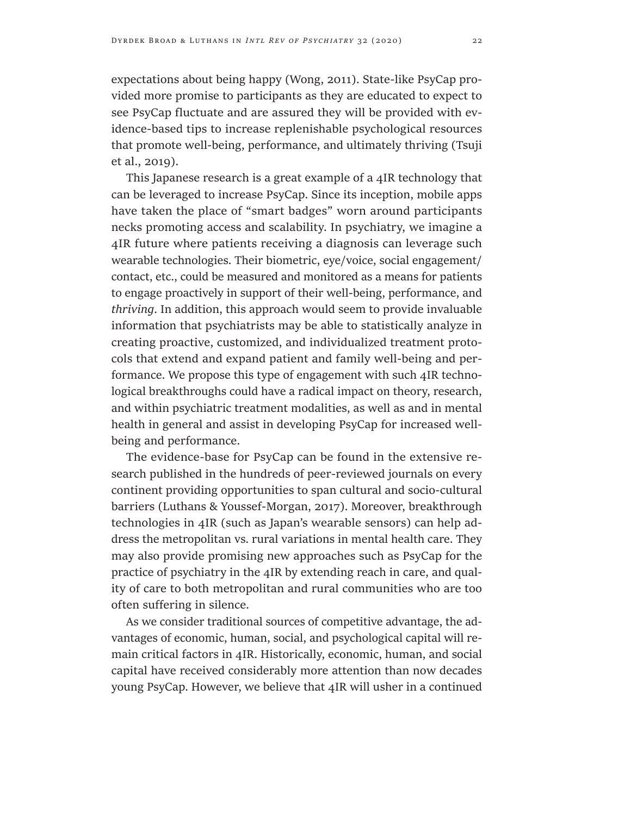expectations about being happy (Wong, 2011). State-like PsyCap provided more promise to participants as they are educated to expect to see PsyCap fluctuate and are assured they will be provided with evidence-based tips to increase replenishable psychological resources that promote well-being, performance, and ultimately thriving (Tsuji et al., 2019).

This Japanese research is a great example of a 4IR technology that can be leveraged to increase PsyCap. Since its inception, mobile apps have taken the place of "smart badges" worn around participants necks promoting access and scalability. In psychiatry, we imagine a 4IR future where patients receiving a diagnosis can leverage such wearable technologies. Their biometric, eye/voice, social engagement/ contact, etc., could be measured and monitored as a means for patients to engage proactively in support of their well-being, performance, and *thriving*. In addition, this approach would seem to provide invaluable information that psychiatrists may be able to statistically analyze in creating proactive, customized, and individualized treatment protocols that extend and expand patient and family well-being and performance. We propose this type of engagement with such 4IR technological breakthroughs could have a radical impact on theory, research, and within psychiatric treatment modalities, as well as and in mental health in general and assist in developing PsyCap for increased wellbeing and performance.

The evidence-base for PsyCap can be found in the extensive research published in the hundreds of peer-reviewed journals on every continent providing opportunities to span cultural and socio-cultural barriers (Luthans & Youssef-Morgan, 2017). Moreover, breakthrough technologies in 4IR (such as Japan's wearable sensors) can help address the metropolitan vs. rural variations in mental health care. They may also provide promising new approaches such as PsyCap for the practice of psychiatry in the 4IR by extending reach in care, and quality of care to both metropolitan and rural communities who are too often suffering in silence.

As we consider traditional sources of competitive advantage, the advantages of economic, human, social, and psychological capital will remain critical factors in 4IR. Historically, economic, human, and social capital have received considerably more attention than now decades young PsyCap. However, we believe that 4IR will usher in a continued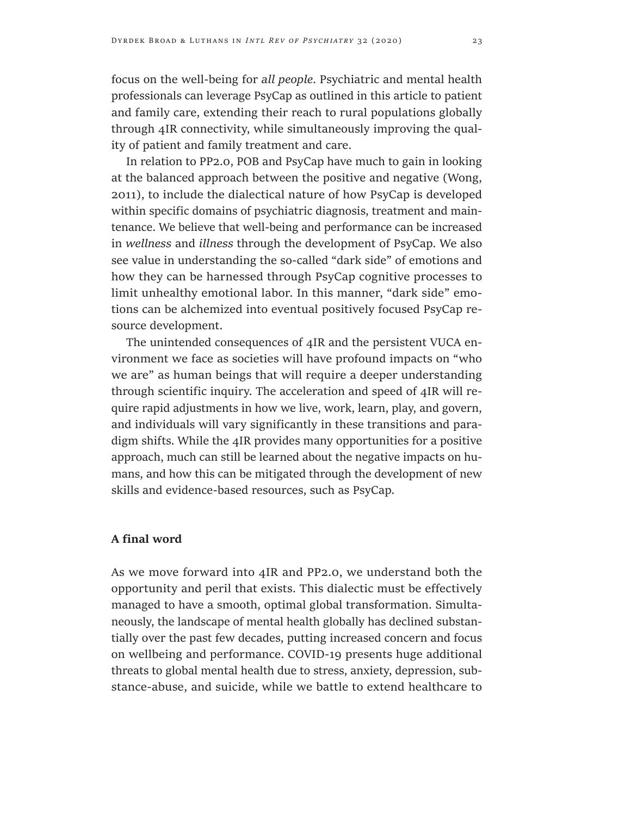focus on the well-being for *all people*. Psychiatric and mental health professionals can leverage PsyCap as outlined in this article to patient and family care, extending their reach to rural populations globally through 4IR connectivity, while simultaneously improving the quality of patient and family treatment and care.

In relation to PP2.0, POB and PsyCap have much to gain in looking at the balanced approach between the positive and negative (Wong, 2011), to include the dialectical nature of how PsyCap is developed within specific domains of psychiatric diagnosis, treatment and maintenance. We believe that well-being and performance can be increased in *wellness* and *illness* through the development of PsyCap. We also see value in understanding the so-called "dark side" of emotions and how they can be harnessed through PsyCap cognitive processes to limit unhealthy emotional labor. In this manner, "dark side" emotions can be alchemized into eventual positively focused PsyCap resource development.

The unintended consequences of 4IR and the persistent VUCA environment we face as societies will have profound impacts on "who we are" as human beings that will require a deeper understanding through scientific inquiry. The acceleration and speed of 4IR will require rapid adjustments in how we live, work, learn, play, and govern, and individuals will vary significantly in these transitions and paradigm shifts. While the 4IR provides many opportunities for a positive approach, much can still be learned about the negative impacts on humans, and how this can be mitigated through the development of new skills and evidence-based resources, such as PsyCap.

#### **A final word**

As we move forward into 4IR and PP2.0, we understand both the opportunity and peril that exists. This dialectic must be effectively managed to have a smooth, optimal global transformation. Simultaneously, the landscape of mental health globally has declined substantially over the past few decades, putting increased concern and focus on wellbeing and performance. COVID-19 presents huge additional threats to global mental health due to stress, anxiety, depression, substance-abuse, and suicide, while we battle to extend healthcare to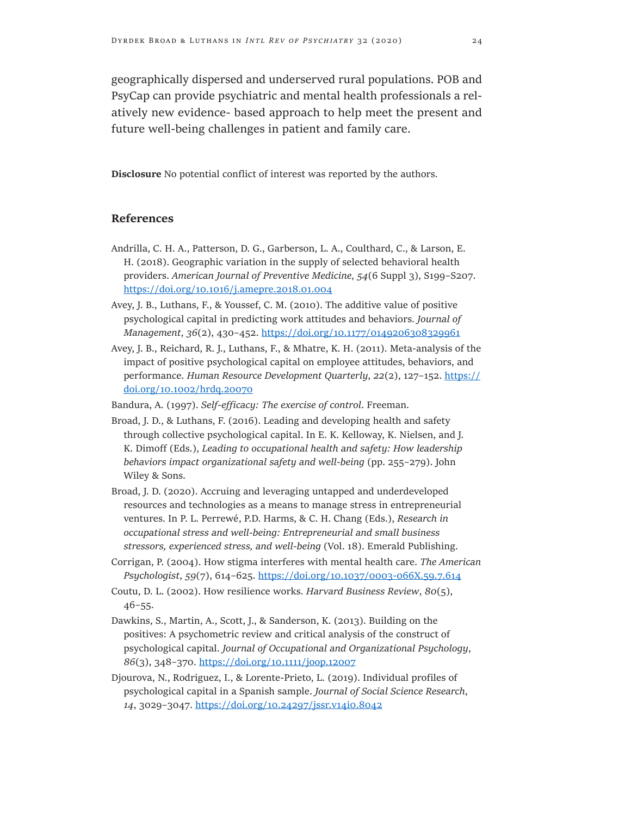geographically dispersed and underserved rural populations. POB and PsyCap can provide psychiatric and mental health professionals a relatively new evidence- based approach to help meet the present and future well-being challenges in patient and family care.

**Disclosure** No potential conflict of interest was reported by the authors.

### **References**

- Andrilla, C. H. A., Patterson, D. G., Garberson, L. A., Coulthard, C., & Larson, E. H. (2018). Geographic variation in the supply of selected behavioral health providers. *American Journal of Preventive Medicine*, *54*(6 Suppl 3), S199–S207. <https://doi.org/10.1016/j.amepre.2018.01.004>
- Avey, J. B., Luthans, F., & Youssef, C. M. (2010). The additive value of positive psychological capital in predicting work attitudes and behaviors. *Journal of Management*, *36*(2), 430–452. <https://doi.org/10.1177/0149206308329961>
- Avey, J. B., Reichard, R. J., Luthans, F., & Mhatre, K. H. (2011). Meta-analysis of the impact of positive psychological capital on employee attitudes, behaviors, and performance. *Human Resource Development Quarterly*, *22*(2), 127–152. [https://](https://doi.org/10.1002/hrdq.20070) [doi.org/10.1002/hrdq.20070](https://doi.org/10.1002/hrdq.20070)

Bandura, A. (1997). *Self-efficacy: The exercise of control*. Freeman.

- Broad, J. D., & Luthans, F. (2016). Leading and developing health and safety through collective psychological capital. In E. K. Kelloway, K. Nielsen, and J. K. Dimoff (Eds.), *Leading to occupational health and safety: How leadership behaviors impact organizational safety and well-being* (pp. 255–279). John Wiley & Sons.
- Broad, J. D. (2020). Accruing and leveraging untapped and underdeveloped resources and technologies as a means to manage stress in entrepreneurial ventures. In P. L. Perrewé, P.D. Harms, & C. H. Chang (Eds.), *Research in occupational stress and well-being: Entrepreneurial and small business stressors, experienced stress, and well-being* (Vol. 18). Emerald Publishing.
- Corrigan, P. (2004). How stigma interferes with mental health care. *The American Psychologist*, *59*(7), 614–625. <https://doi.org/10.1037/0003-066X.59.7.614>
- Coutu, D. L. (2002). How resilience works. *Harvard Business Review*, *80*(5),  $46 - 55.$
- Dawkins, S., Martin, A., Scott, J., & Sanderson, K. (2013). Building on the positives: A psychometric review and critical analysis of the construct of psychological capital. *Journal of Occupational and Organizational Psychology*, *86*(3), 348–370.<https://doi.org/10.1111/joop.12007>
- Djourova, N., Rodriguez, I., & Lorente-Prieto, L. (2019). Individual profiles of psychological capital in a Spanish sample. *Journal of Social Science Research*, *14*, 3029–3047. <https://doi.org/10.24297/jssr.v14i0.8042>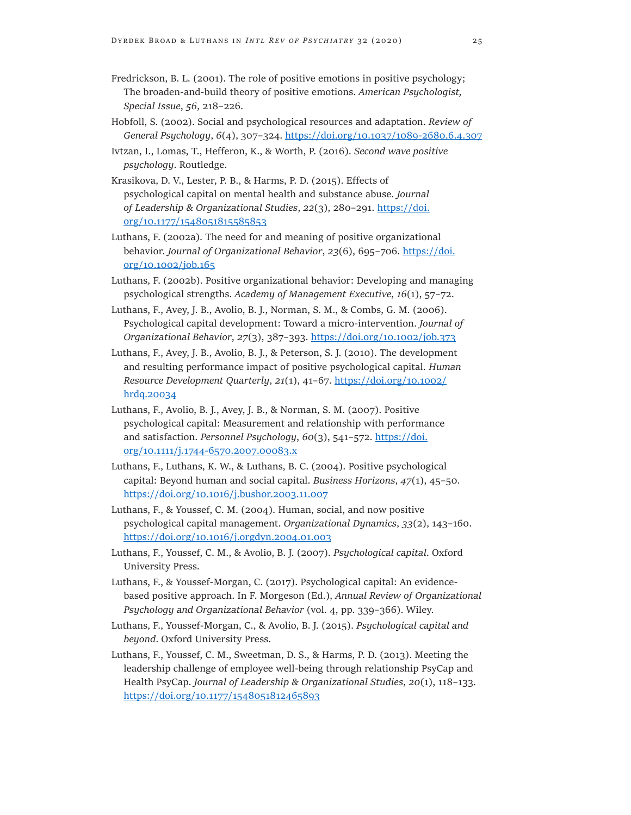- Fredrickson, B. L. (2001). The role of positive emotions in positive psychology; The broaden-and-build theory of positive emotions. *American Psychologist, Special Issue*, *56*, 218–226.
- Hobfoll, S. (2002). Social and psychological resources and adaptation. *Review of General Psychology*, *6*(4), 307–324. <https://doi.org/10.1037/1089-2680.6.4.307>
- Ivtzan, I., Lomas, T., Hefferon, K., & Worth, P. (2016). *Second wave positive psychology*. Routledge.
- Krasikova, D. V., Lester, P. B., & Harms, P. D. (2015). Effects of psychological capital on mental health and substance abuse. *Journal of Leadership & Organizational Studies*, *22*(3), 280–291. [https://doi.](https://doi.org/10.1177/1548051815585853) [org/10.1177/1548051815585853](https://doi.org/10.1177/1548051815585853)
- Luthans, F. (2002a). The need for and meaning of positive organizational behavior. *Journal of Organizational Behavior*, *23*(6), 695–706. [https://doi.](https://doi.org/10.1002/job.165) [org/10.1002/job.165](https://doi.org/10.1002/job.165)
- Luthans, F. (2002b). Positive organizational behavior: Developing and managing psychological strengths. *Academy of Management Executive*, *16*(1), 57–72.
- Luthans, F., Avey, J. B., Avolio, B. J., Norman, S. M., & Combs, G. M. (2006). Psychological capital development: Toward a micro-intervention. *Journal of Organizational Behavior*, *27*(3), 387–393. <https://doi.org/10.1002/job.373>
- Luthans, F., Avey, J. B., Avolio, B. J., & Peterson, S. J. (2010). The development and resulting performance impact of positive psychological capital. *Human Resource Development Quarterly*, *21*(1), 41–67. [https://doi.org/10.1002/](https://doi.org/10.1002/hrdq.20034) [hrdq.20034](https://doi.org/10.1002/hrdq.20034)
- Luthans, F., Avolio, B. J., Avey, J. B., & Norman, S. M. (2007). Positive psychological capital: Measurement and relationship with performance and satisfaction. *Personnel Psychology*, *60*(3), 541–572. [https://doi.](https://doi.org/10.1111/j.1744-6570.2007.00083.x) [org/10.1111/j.1744-6570.2007.00083.x](https://doi.org/10.1111/j.1744-6570.2007.00083.x)
- Luthans, F., Luthans, K. W., & Luthans, B. C. (2004). Positive psychological capital: Beyond human and social capital. *Business Horizons*, *47*(1), 45–50. <https://doi.org/10.1016/j.bushor.2003.11.007>
- Luthans, F., & Youssef, C. M. (2004). Human, social, and now positive psychological capital management. *Organizational Dynamics*, *33*(2), 143–160. <https://doi.org/10.1016/j.orgdyn.2004.01.003>
- Luthans, F., Youssef, C. M., & Avolio, B. J. (2007). *Psychological capital*. Oxford University Press.
- Luthans, F., & Youssef-Morgan, C. (2017). Psychological capital: An evidencebased positive approach. In F. Morgeson (Ed.), *Annual Review of Organizational Psychology and Organizational Behavior* (vol. 4, pp. 339–366). Wiley.
- Luthans, F., Youssef-Morgan, C., & Avolio, B. J. (2015). *Psychological capital and beyond*. Oxford University Press.
- Luthans, F., Youssef, C. M., Sweetman, D. S., & Harms, P. D. (2013). Meeting the leadership challenge of employee well-being through relationship PsyCap and Health PsyCap. *Journal of Leadership & Organizational Studies*, *20*(1), 118–133. <https://doi.org/10.1177/1548051812465893>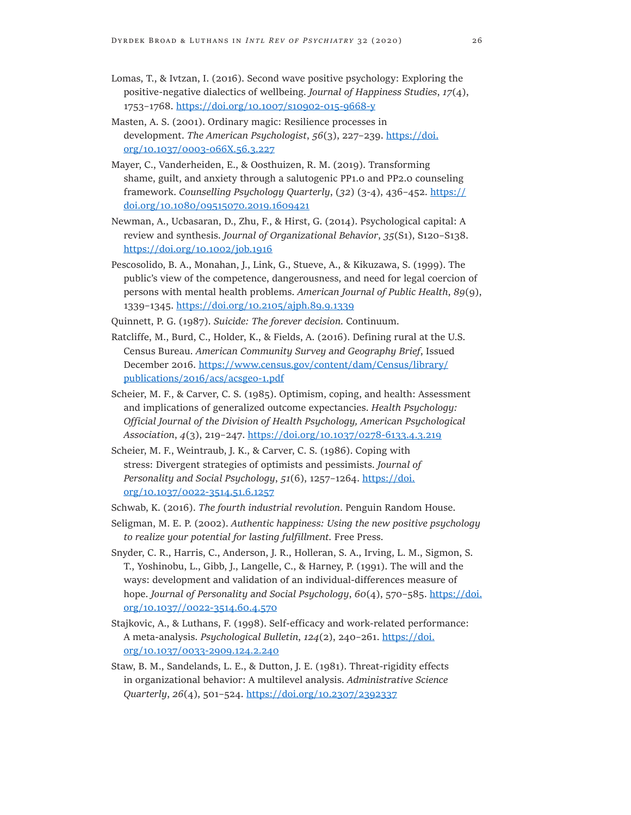- Lomas, T., & Ivtzan, I. (2016). Second wave positive psychology: Exploring the positive-negative dialectics of wellbeing. *Journal of Happiness Studies*, *17*(4), 1753–1768. <https://doi.org/10.1007/s10902-015-9668-y>
- Masten, A. S. (2001). Ordinary magic: Resilience processes in development. *The American Psychologist*, *56*(3), 227–239. [https://doi.](https://doi.org/10.1037/0003-066X.56.3.227) [org/10.1037/0003-066X.56.3.227](https://doi.org/10.1037/0003-066X.56.3.227)
- Mayer, C., Vanderheiden, E., & Oosthuizen, R. M. (2019). Transforming shame, guilt, and anxiety through a salutogenic PP1.0 and PP2.0 counseling framework. *Counselling Psychology Quarterly*, (*32*) (3-4), 436–452. [https://](https://doi.org/10.1080/09515070.2019.1609421) [doi.org/10.1080/09515070.2019.1609421](https://doi.org/10.1080/09515070.2019.1609421)
- Newman, A., Ucbasaran, D., Zhu, F., & Hirst, G. (2014). Psychological capital: A review and synthesis. *Journal of Organizational Behavior*, *35*(S1), S120–S138. <https://doi.org/10.1002/job.1916>
- Pescosolido, B. A., Monahan, J., Link, G., Stueve, A., & Kikuzawa, S. (1999). The public's view of the competence, dangerousness, and need for legal coercion of persons with mental health problems. *American Journal of Public Health*, *89*(9), 1339–1345.<https://doi.org/10.2105/ajph.89.9.1339>
- Quinnett, P. G. (1987). *Suicide: The forever decision.* Continuum.
- Ratcliffe, M., Burd, C., Holder, K., & Fields, A. (2016). Defining rural at the U.S. Census Bureau. *American Community Survey and Geography Brief*, Issued December 2016. [https://www.census.gov/content/dam/Census/library/](https://www.census.gov/content/dam/Census/library/publications/2016/acs/acsgeo-1.pdf) [publications/2016/acs/acsgeo-1.pdf](https://www.census.gov/content/dam/Census/library/publications/2016/acs/acsgeo-1.pdf)
- Scheier, M. F., & Carver, C. S. (1985). Optimism, coping, and health: Assessment and implications of generalized outcome expectancies. *Health Psychology: Official Journal of the Division of Health Psychology, American Psychological Association*, *4*(3), 219–247.<https://doi.org/10.1037/0278-6133.4.3.219>
- Scheier, M. F., Weintraub, J. K., & Carver, C. S. (1986). Coping with stress: Divergent strategies of optimists and pessimists. *Journal of Personality and Social Psychology*, *51*(6), 1257–1264. [https://doi.](https://doi.org/10.1037/0022-3514.51.6.1257) [org/10.1037/0022-3514.51.6.1257](https://doi.org/10.1037/0022-3514.51.6.1257)
- Schwab, K. (2016). *The fourth industrial revolution*. Penguin Random House.
- Seligman, M. E. P. (2002). *Authentic happiness: Using the new positive psychology to realize your potential for lasting fulfillment.* Free Press.
- Snyder, C. R., Harris, C., Anderson, J. R., Holleran, S. A., Irving, L. M., Sigmon, S. T., Yoshinobu, L., Gibb, J., Langelle, C., & Harney, P. (1991). The will and the ways: development and validation of an individual-differences measure of hope. *Journal of Personality and Social Psychology*, *60*(4), 570–585. [https://doi.](https://doi.org/10.1037//0022-3514.60.4.570) [org/10.1037//0022-3514.60.4.570](https://doi.org/10.1037//0022-3514.60.4.570)
- Stajkovic, A., & Luthans, F. (1998). Self-efficacy and work-related performance: A meta-analysis. *Psychological Bulletin*, *124*(2), 240–261. [https://doi.](https://doi.org/10.1037/0033-2909.124.2.240) [org/10.1037/0033-2909.124.2.240](https://doi.org/10.1037/0033-2909.124.2.240)
- Staw, B. M., Sandelands, L. E., & Dutton, J. E. (1981). Threat-rigidity effects in organizational behavior: A multilevel analysis. *Administrative Science Quarterly*, *26*(4), 501–524.<https://doi.org/10.2307/2392337>